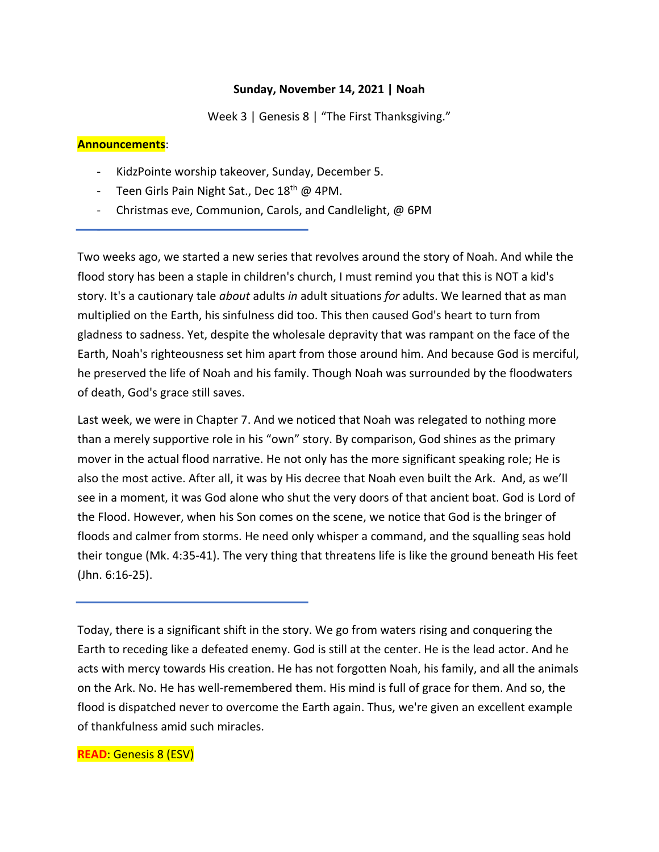#### **Sunday, November 14, 2021 | Noah**

Week 3 | Genesis 8 | "The First Thanksgiving."

#### **Announcements**:

-

- KidzPointe worship takeover, Sunday, December 5.
- Teen Girls Pain Night Sat., Dec 18<sup>th</sup> @ 4PM.
- Christmas eve, Communion, Carols, and Candlelight, @ 6PM

Two weeks ago, we started a new series that revolves around the story of Noah. And while the flood story has been a staple in children's church, I must remind you that this is NOT a kid's story. It's a cautionary tale *about* adults *in* adult situations *for* adults. We learned that as man multiplied on the Earth, his sinfulness did too. This then caused God's heart to turn from gladness to sadness. Yet, despite the wholesale depravity that was rampant on the face of the Earth, Noah's righteousness set him apart from those around him. And because God is merciful, he preserved the life of Noah and his family. Though Noah was surrounded by the floodwaters of death, God's grace still saves.

Last week, we were in Chapter 7. And we noticed that Noah was relegated to nothing more than a merely supportive role in his "own" story. By comparison, God shines as the primary mover in the actual flood narrative. He not only has the more significant speaking role; He is also the most active. After all, it was by His decree that Noah even built the Ark. And, as we'll see in a moment, it was God alone who shut the very doors of that ancient boat. God is Lord of the Flood. However, when his Son comes on the scene, we notice that God is the bringer of floods and calmer from storms. He need only whisper a command, and the squalling seas hold their tongue (Mk. 4:35-41). The very thing that threatens life is like the ground beneath His feet (Jhn. 6:16-25).

Today, there is a significant shift in the story. We go from waters rising and conquering the Earth to receding like a defeated enemy. God is still at the center. He is the lead actor. And he acts with mercy towards His creation. He has not forgotten Noah, his family, and all the animals on the Ark. No. He has well-remembered them. His mind is full of grace for them. And so, the flood is dispatched never to overcome the Earth again. Thus, we're given an excellent example of thankfulness amid such miracles.

#### **READ**: Genesis 8 (ESV)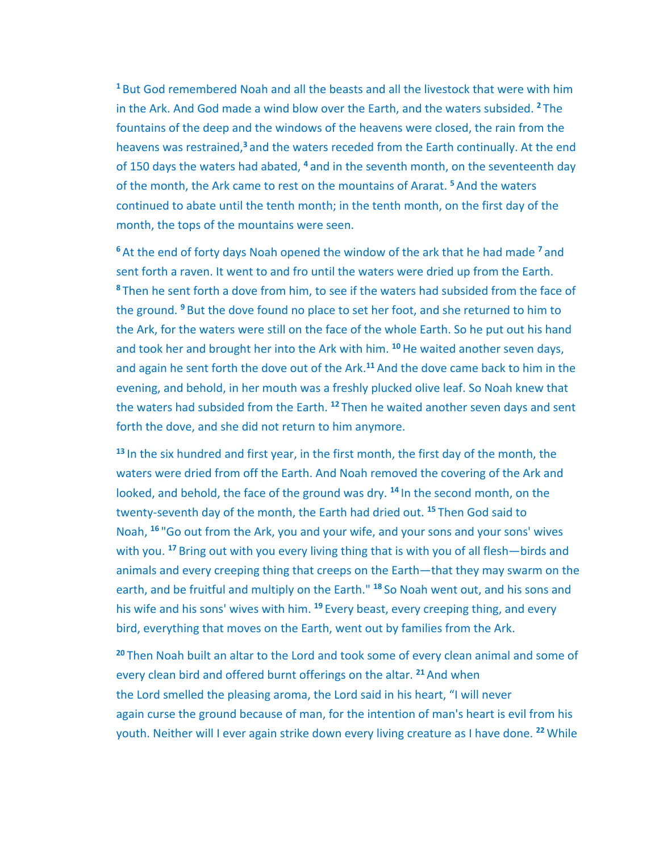**<sup>1</sup>** But God remembered Noah and all the beasts and all the livestock that were with him in the Ark. And God made a wind blow over the Earth, and the waters subsided. **<sup>2</sup>** The fountains of the deep and the windows of the heavens were closed, the rain from the heavens was restrained,**<sup>3</sup>** and the waters receded from the Earth continually. At the end of 150 days the waters had abated, **<sup>4</sup>** and in the seventh month, on the seventeenth day of the month, the Ark came to rest on the mountains of Ararat. **<sup>5</sup>** And the waters continued to abate until the tenth month; in the tenth month, on the first day of the month, the tops of the mountains were seen.

**<sup>6</sup>** At the end of forty days Noah opened the window of the ark that he had made **<sup>7</sup>** and sent forth a raven. It went to and fro until the waters were dried up from the Earth. **<sup>8</sup>** Then he sent forth a dove from him, to see if the waters had subsided from the face of the ground. **<sup>9</sup>** But the dove found no place to set her foot, and she returned to him to the Ark, for the waters were still on the face of the whole Earth. So he put out his hand and took her and brought her into the Ark with him. **<sup>10</sup>**He waited another seven days, and again he sent forth the dove out of the Ark.**<sup>11</sup>** And the dove came back to him in the evening, and behold, in her mouth was a freshly plucked olive leaf. So Noah knew that the waters had subsided from the Earth. **<sup>12</sup>** Then he waited another seven days and sent forth the dove, and she did not return to him anymore.

**<sup>13</sup>** In the six hundred and first year, in the first month, the first day of the month, the waters were dried from off the Earth. And Noah removed the covering of the Ark and looked, and behold, the face of the ground was dry. **<sup>14</sup>** In the second month, on the twenty-seventh day of the month, the Earth had dried out. **<sup>15</sup>** Then God said to Noah, <sup>16</sup> "Go out from the Ark, you and your wife, and your sons and your sons' wives with you. **<sup>17</sup>** Bring out with you every living thing that is with you of all flesh—birds and animals and every creeping thing that creeps on the Earth—that they may swarm on the earth, and be fruitful and multiply on the Earth." **<sup>18</sup>** So Noah went out, and his sons and his wife and his sons' wives with him. **<sup>19</sup>** Every beast, every creeping thing, and every bird, everything that moves on the Earth, went out by families from the Ark.

**<sup>20</sup>** Then Noah built an altar to the Lord and took some of every clean animal and some of every clean bird and offered burnt offerings on the altar. **<sup>21</sup>** And when the Lord smelled the pleasing aroma, the Lord said in his heart, "I will never again curse the ground because of man, for the intention of man's heart is evil from his youth. Neither will I ever again strike down every living creature as I have done. **<sup>22</sup>** While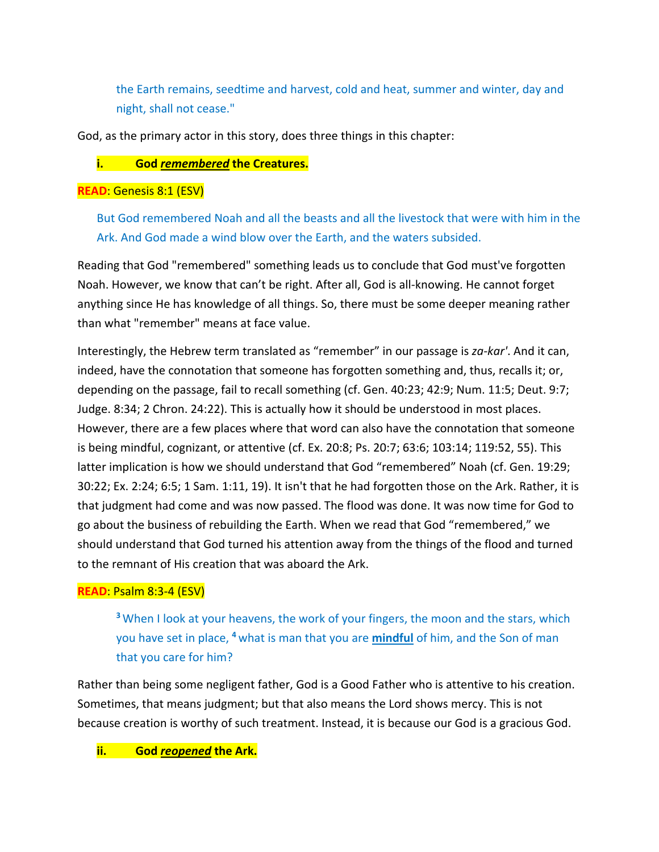the Earth remains, seedtime and harvest, cold and heat, summer and winter, day and night, shall not cease."

God, as the primary actor in this story, does three things in this chapter:

## **i. God** *remembered* **the Creatures.**

### **READ**: Genesis 8:1 (ESV)

But God remembered Noah and all the beasts and all the livestock that were with him in the Ark. And God made a wind blow over the Earth, and the waters subsided.

Reading that God "remembered" something leads us to conclude that God must've forgotten Noah. However, we know that can't be right. After all, God is all-knowing. He cannot forget anything since He has knowledge of all things. So, there must be some deeper meaning rather than what "remember" means at face value.

Interestingly, the Hebrew term translated as "remember" in our passage is *za-kar'*. And it can, indeed, have the connotation that someone has forgotten something and, thus, recalls it; or, depending on the passage, fail to recall something (cf. Gen. 40:23; 42:9; Num. 11:5; Deut. 9:7; Judge. 8:34; 2 Chron. 24:22). This is actually how it should be understood in most places. However, there are a few places where that word can also have the connotation that someone is being mindful, cognizant, or attentive (cf. Ex. 20:8; Ps. 20:7; 63:6; 103:14; 119:52, 55). This latter implication is how we should understand that God "remembered" Noah (cf. Gen. 19:29; 30:22; Ex. 2:24; 6:5; 1 Sam. 1:11, 19). It isn't that he had forgotten those on the Ark. Rather, it is that judgment had come and was now passed. The flood was done. It was now time for God to go about the business of rebuilding the Earth. When we read that God "remembered," we should understand that God turned his attention away from the things of the flood and turned to the remnant of His creation that was aboard the Ark.

# **READ**: Psalm 8:3-4 (ESV)

**<sup>3</sup>** When I look at your heavens, the work of your fingers, the moon and the stars, which you have set in place, **<sup>4</sup>** what is man that you are **mindful** of him, and the Son of man that you care for him?

Rather than being some negligent father, God is a Good Father who is attentive to his creation. Sometimes, that means judgment; but that also means the Lord shows mercy. This is not because creation is worthy of such treatment. Instead, it is because our God is a gracious God.

**ii. God** *reopened* **the Ark.**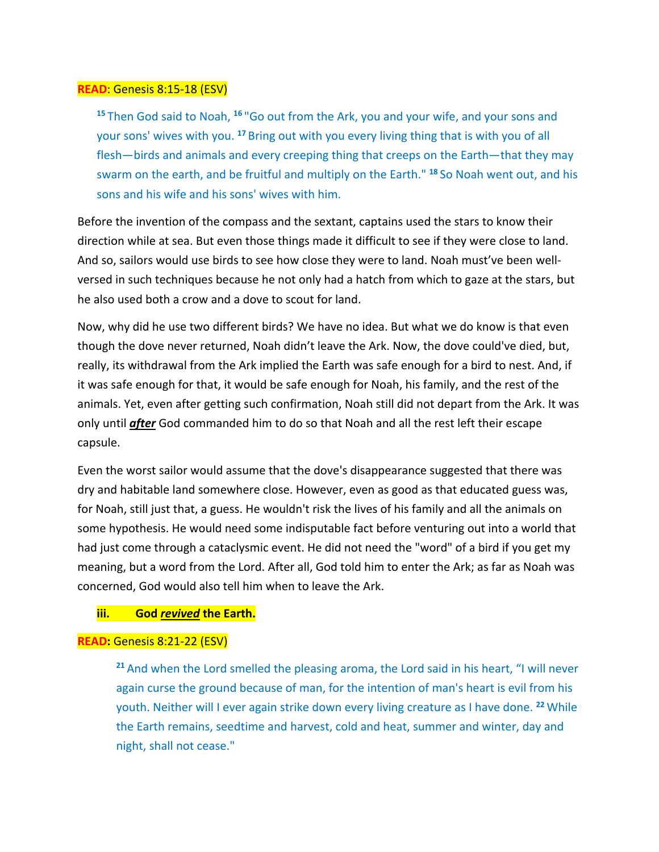#### **READ**: Genesis 8:15-18 (ESV)

**<sup>15</sup>** Then God said to Noah, **<sup>16</sup>** "Go out from the Ark, you and your wife, and your sons and your sons' wives with you. **<sup>17</sup>** Bring out with you every living thing that is with you of all flesh—birds and animals and every creeping thing that creeps on the Earth—that they may swarm on the earth, and be fruitful and multiply on the Earth." **<sup>18</sup>** So Noah went out, and his sons and his wife and his sons' wives with him.

Before the invention of the compass and the sextant, captains used the stars to know their direction while at sea. But even those things made it difficult to see if they were close to land. And so, sailors would use birds to see how close they were to land. Noah must've been wellversed in such techniques because he not only had a hatch from which to gaze at the stars, but he also used both a crow and a dove to scout for land.

Now, why did he use two different birds? We have no idea. But what we do know is that even though the dove never returned, Noah didn't leave the Ark. Now, the dove could've died, but, really, its withdrawal from the Ark implied the Earth was safe enough for a bird to nest. And, if it was safe enough for that, it would be safe enough for Noah, his family, and the rest of the animals. Yet, even after getting such confirmation, Noah still did not depart from the Ark. It was only until *after* God commanded him to do so that Noah and all the rest left their escape capsule.

Even the worst sailor would assume that the dove's disappearance suggested that there was dry and habitable land somewhere close. However, even as good as that educated guess was, for Noah, still just that, a guess. He wouldn't risk the lives of his family and all the animals on some hypothesis. He would need some indisputable fact before venturing out into a world that had just come through a cataclysmic event. He did not need the "word" of a bird if you get my meaning, but a word from the Lord. After all, God told him to enter the Ark; as far as Noah was concerned, God would also tell him when to leave the Ark.

#### **iii. God** *revived* **the Earth.**

#### **READ:** Genesis 8:21-22 (ESV)

**<sup>21</sup>** And when the Lord smelled the pleasing aroma, the Lord said in his heart, "I will never again curse the ground because of man, for the intention of man's heart is evil from his youth. Neither will I ever again strike down every living creature as I have done. **<sup>22</sup>** While the Earth remains, seedtime and harvest, cold and heat, summer and winter, day and night, shall not cease."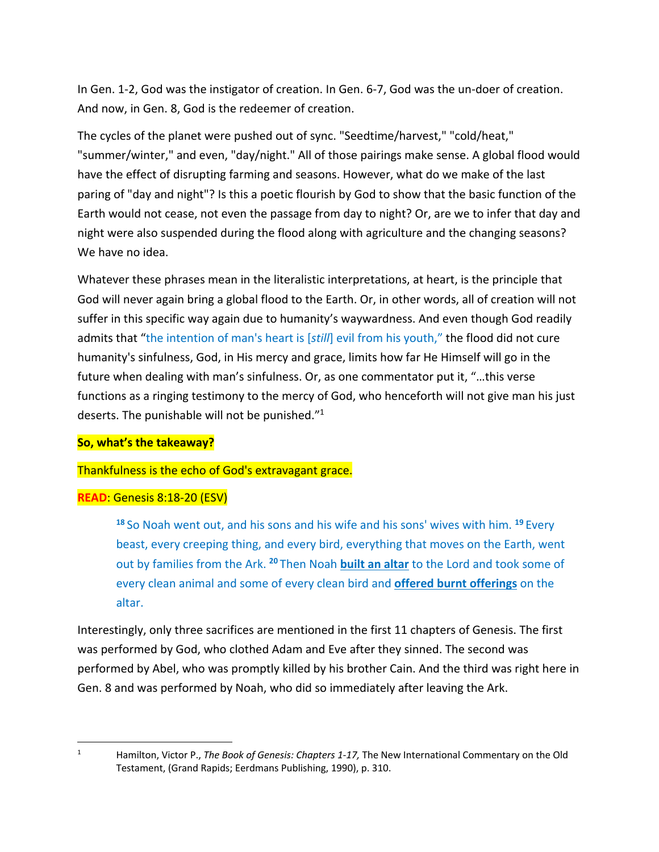In Gen. 1-2, God was the instigator of creation. In Gen. 6-7, God was the un-doer of creation. And now, in Gen. 8, God is the redeemer of creation.

The cycles of the planet were pushed out of sync. "Seedtime/harvest," "cold/heat," "summer/winter," and even, "day/night." All of those pairings make sense. A global flood would have the effect of disrupting farming and seasons. However, what do we make of the last paring of "day and night"? Is this a poetic flourish by God to show that the basic function of the Earth would not cease, not even the passage from day to night? Or, are we to infer that day and night were also suspended during the flood along with agriculture and the changing seasons? We have no idea.

Whatever these phrases mean in the literalistic interpretations, at heart, is the principle that God will never again bring a global flood to the Earth. Or, in other words, all of creation will not suffer in this specific way again due to humanity's waywardness. And even though God readily admits that "the intention of man's heart is [*still*] evil from his youth," the flood did not cure humanity's sinfulness, God, in His mercy and grace, limits how far He Himself will go in the future when dealing with man's sinfulness. Or, as one commentator put it, "…this verse functions as a ringing testimony to the mercy of God, who henceforth will not give man his just deserts. The punishable will not be punished."1

### **So, what's the takeaway?**

### Thankfulness is the echo of God's extravagant grace.

### **READ**: Genesis 8:18-20 (ESV)

**<sup>18</sup>** So Noah went out, and his sons and his wife and his sons' wives with him. **<sup>19</sup>** Every beast, every creeping thing, and every bird, everything that moves on the Earth, went out by families from the Ark. **<sup>20</sup>** Then Noah **built an altar** to the Lord and took some of every clean animal and some of every clean bird and **offered burnt offerings** on the altar.

Interestingly, only three sacrifices are mentioned in the first 11 chapters of Genesis. The first was performed by God, who clothed Adam and Eve after they sinned. The second was performed by Abel, who was promptly killed by his brother Cain. And the third was right here in Gen. 8 and was performed by Noah, who did so immediately after leaving the Ark.

<sup>1</sup> Hamilton, Victor P., *The Book of Genesis: Chapters 1-17,* The New International Commentary on the Old Testament, (Grand Rapids; Eerdmans Publishing, 1990), p. 310.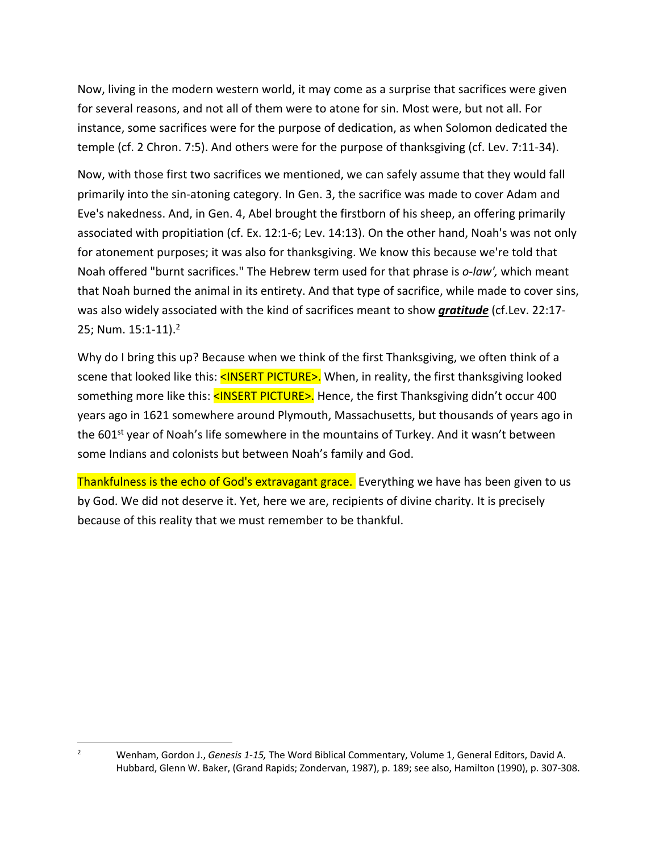Now, living in the modern western world, it may come as a surprise that sacrifices were given for several reasons, and not all of them were to atone for sin. Most were, but not all. For instance, some sacrifices were for the purpose of dedication, as when Solomon dedicated the temple (cf. 2 Chron. 7:5). And others were for the purpose of thanksgiving (cf. Lev. 7:11-34).

Now, with those first two sacrifices we mentioned, we can safely assume that they would fall primarily into the sin-atoning category. In Gen. 3, the sacrifice was made to cover Adam and Eve's nakedness. And, in Gen. 4, Abel brought the firstborn of his sheep, an offering primarily associated with propitiation (cf. Ex. 12:1-6; Lev. 14:13). On the other hand, Noah's was not only for atonement purposes; it was also for thanksgiving. We know this because we're told that Noah offered "burnt sacrifices." The Hebrew term used for that phrase is *o-law',* which meant that Noah burned the animal in its entirety. And that type of sacrifice, while made to cover sins, was also widely associated with the kind of sacrifices meant to show *gratitude* (cf.Lev. 22:17- 25; Num. 15:1-11).<sup>2</sup>

Why do I bring this up? Because when we think of the first Thanksgiving, we often think of a scene that looked like this: <INSERT PICTURE>. When, in reality, the first thanksgiving looked something more like this: <INSERT PICTURE>. Hence, the first Thanksgiving didn't occur 400 years ago in 1621 somewhere around Plymouth, Massachusetts, but thousands of years ago in the  $601^{st}$  year of Noah's life somewhere in the mountains of Turkey. And it wasn't between some Indians and colonists but between Noah's family and God.

Thankfulness is the echo of God's extravagant grace. Everything we have has been given to us by God. We did not deserve it. Yet, here we are, recipients of divine charity. It is precisely because of this reality that we must remember to be thankful.

<sup>2</sup> Wenham, Gordon J., *Genesis 1-15,* The Word Biblical Commentary, Volume 1, General Editors, David A. Hubbard, Glenn W. Baker, (Grand Rapids; Zondervan, 1987), p. 189; see also, Hamilton (1990), p. 307-308.